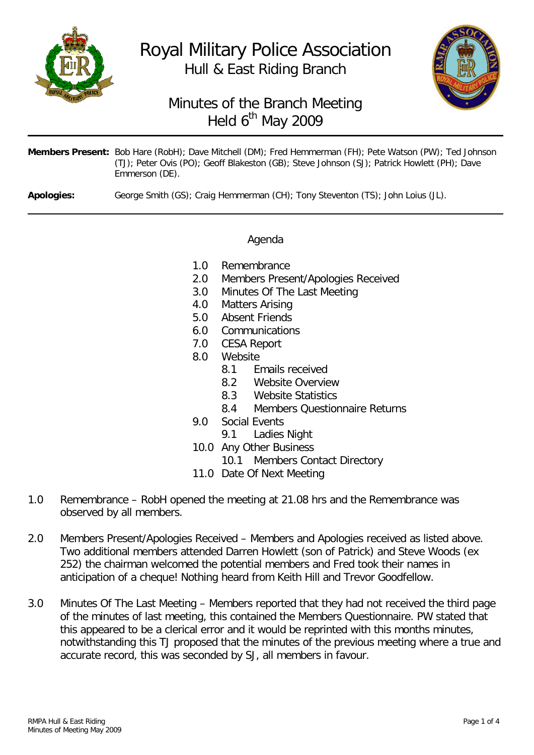

# Royal Military Police Association Hull & East Riding Branch



## Minutes of the Branch Meeting Held 6<sup>th</sup> May 2009

| Members Present: Bob Hare (RobH); Dave Mitchell (DM); Fred Hemmerman (FH); Pete Watson (PW); Ted Johnson      |
|---------------------------------------------------------------------------------------------------------------|
| (TJ); Peter Ovis (PO); Geoff Blakeston (GB); Steve Johnson (SJ); Patrick Howlett (PH); Dave<br>Emmerson (DE). |

**Apologies:** George Smith (GS); Craig Hemmerman (CH); Tony Steventon (TS); John Loius (JL).

#### Agenda

- 1.0 Remembrance
- 2.0 Members Present/Apologies Received
- 3.0 Minutes Of The Last Meeting
- 4.0 Matters Arising
- 5.0 Absent Friends
- 6.0 Communications
- 7.0 CESA Report
- 8.0 Website<br>8.1 F
	- 8.1 Emails received
	- 8.2 Website Overview
	-
	- 8.3 Website Statistics<br>8.4 Members Question 8.4 Members Questionnaire Returns
- 9.0 Social Events
	- 9.1 Ladies Night
- 10.0 Any Other Business
	- 10.1 Members Contact Directory
- 11.0 Date Of Next Meeting
- 1.0 Remembrance RobH opened the meeting at 21.08 hrs and the Remembrance was observed by all members.
- 2.0 Members Present/Apologies Received Members and Apologies received as listed above. Two additional members attended Darren Howlett (son of Patrick) and Steve Woods (ex 252) the chairman welcomed the potential members and Fred took their names in anticipation of a cheque! Nothing heard from Keith Hill and Trevor Goodfellow.
- 3.0 Minutes Of The Last Meeting Members reported that they had not received the third page of the minutes of last meeting, this contained the Members Questionnaire. PW stated that this appeared to be a clerical error and it would be reprinted with this months minutes, notwithstanding this TJ proposed that the minutes of the previous meeting where a true and accurate record, this was seconded by SJ, all members in favour.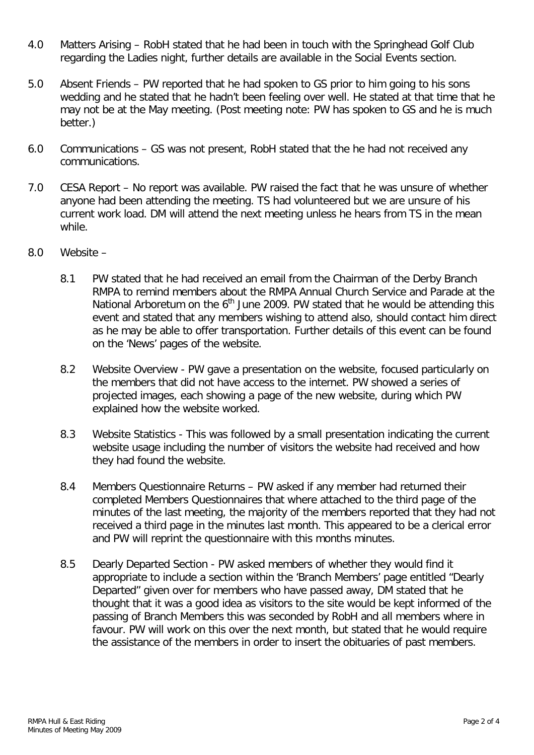- 4.0 Matters Arising RobH stated that he had been in touch with the Springhead Golf Club regarding the Ladies night, further details are available in the Social Events section.
- 5.0 Absent Friends PW reported that he had spoken to GS prior to him going to his sons wedding and he stated that he hadn't been feeling over well. He stated at that time that he may not be at the May meeting. (Post meeting note: PW has spoken to GS and he is much better.)
- 6.0 Communications GS was not present, RobH stated that the he had not received any communications.
- 7.0 CESA Report No report was available. PW raised the fact that he was unsure of whether anyone had been attending the meeting. TS had volunteered but we are unsure of his current work load. DM will attend the next meeting unless he hears from TS in the mean while.
- 8.0 Website
	- 8.1 PW stated that he had received an email from the Chairman of the Derby Branch RMPA to remind members about the RMPA Annual Church Service and Parade at the National Arboretum on the  $6<sup>th</sup>$  June 2009. PW stated that he would be attending this event and stated that any members wishing to attend also, should contact him direct as he may be able to offer transportation. Further details of this event can be found on the 'News' pages of the website.
	- 8.2 Website Overview PW gave a presentation on the website, focused particularly on the members that did not have access to the internet. PW showed a series of projected images, each showing a page of the new website, during which PW explained how the website worked.
	- 8.3 Website Statistics This was followed by a small presentation indicating the current website usage including the number of visitors the website had received and how they had found the website.
	- 8.4 Members Questionnaire Returns PW asked if any member had returned their completed Members Questionnaires that where attached to the third page of the minutes of the last meeting, the majority of the members reported that they had not received a third page in the minutes last month. This appeared to be a clerical error and PW will reprint the questionnaire with this months minutes.
	- 8.5 Dearly Departed Section PW asked members of whether they would find it appropriate to include a section within the 'Branch Members' page entitled "Dearly Departed" given over for members who have passed away, DM stated that he thought that it was a good idea as visitors to the site would be kept informed of the passing of Branch Members this was seconded by RobH and all members where in favour. PW will work on this over the next month, but stated that he would require the assistance of the members in order to insert the obituaries of past members.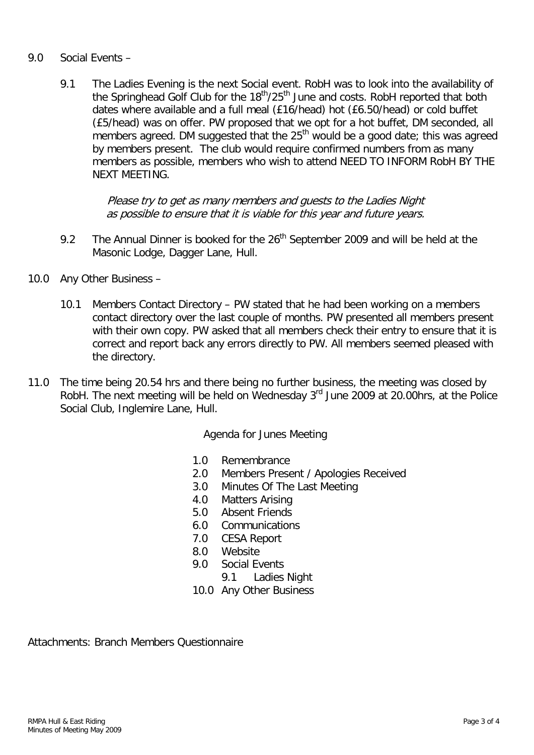#### 9.0 Social Events –

9.1 The Ladies Evening is the next Social event. RobH was to look into the availability of the Springhead Golf Club for the 18<sup>th</sup>/25<sup>th</sup> June and costs. RobH reported that both dates where available and a full meal (£16/head) hot (£6.50/head) or cold buffet (£5/head) was on offer. PW proposed that we opt for a hot buffet, DM seconded, all members agreed. DM suggested that the  $25<sup>th</sup>$  would be a good date; this was agreed by members present. The club would require confirmed numbers from as many members as possible, members who wish to attend NEED TO INFORM RobH BY THE NEXT MEETING.

> Please try to get as many members and guests to the Ladies Night as possible to ensure that it is viable for this year and future years.

- 9.2 The Annual Dinner is booked for the  $26<sup>th</sup>$  September 2009 and will be held at the Masonic Lodge, Dagger Lane, Hull.
- 10.0 Any Other Business
	- 10.1 Members Contact Directory PW stated that he had been working on a members contact directory over the last couple of months. PW presented all members present with their own copy. PW asked that all members check their entry to ensure that it is correct and report back any errors directly to PW. All members seemed pleased with the directory.
- 11.0 The time being 20.54 hrs and there being no further business, the meeting was closed by RobH. The next meeting will be held on Wednesday 3<sup>rd</sup> June 2009 at 20.00hrs, at the Police Social Club, Inglemire Lane, Hull.

Agenda for Junes Meeting

- 1.0 Remembrance
- 2.0 Members Present / Apologies Received<br>3.0 Minutes Of The Last Meeting
- Minutes Of The Last Meeting
- 4.0 Matters Arising
- 5.0 Absent Friends
- 6.0 Communications
- 7.0 CESA Report
- 8.0 Website
- 9.0 Social Events
	- 9.1 Ladies Night
- 10.0 Any Other Business

Attachments: Branch Members Questionnaire